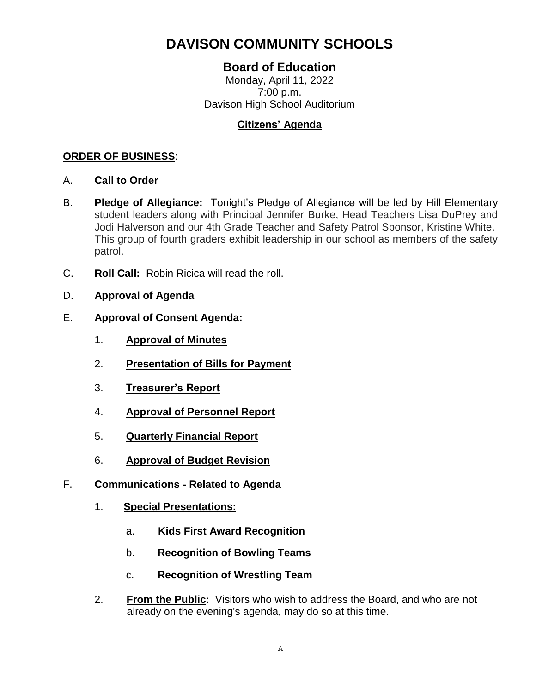# **DAVISON COMMUNITY SCHOOLS**

# **Board of Education**

Monday, April 11, 2022 7:00 p.m. Davison High School Auditorium

## **Citizens' Agenda**

### **ORDER OF BUSINESS**:

- A. **Call to Order**
- B. **Pledge of Allegiance:** Tonight's Pledge of Allegiance will be led by Hill Elementary student leaders along with Principal Jennifer Burke, Head Teachers Lisa DuPrey and Jodi Halverson and our 4th Grade Teacher and Safety Patrol Sponsor, Kristine White. This group of fourth graders exhibit leadership in our school as members of the safety patrol.
- C. **Roll Call:** Robin Ricica will read the roll.
- D. **Approval of Agenda**
- E. **Approval of Consent Agenda:**
	- 1. **Approval of Minutes**
	- 2. **Presentation of Bills for Payment**
	- 3. **Treasurer's Report**
	- 4. **Approval of Personnel Report**
	- 5. **Quarterly Financial Report**
	- 6. **Approval of Budget Revision**
- F. **Communications - Related to Agenda**
	- 1. **Special Presentations:**
		- a. **Kids First Award Recognition**
		- b. **Recognition of Bowling Teams**
		- c. **Recognition of Wrestling Team**
	- 2. **From the Public:** Visitors who wish to address the Board, and who are not already on the evening's agenda, may do so at this time.